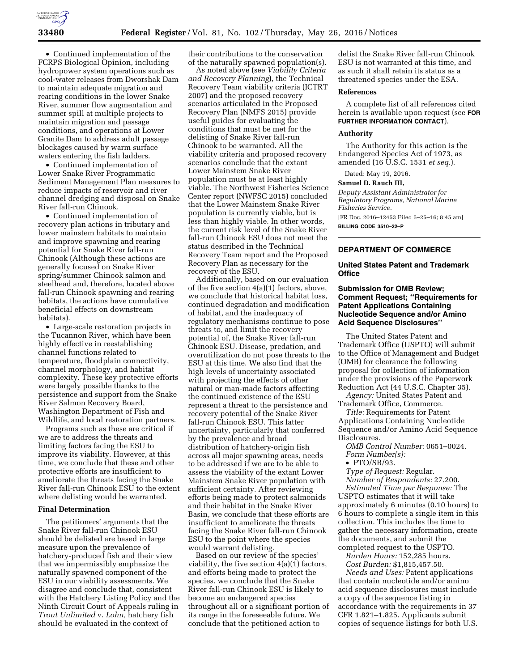

• Continued implementation of the FCRPS Biological Opinion, including hydropower system operations such as cool-water releases from Dworshak Dam to maintain adequate migration and rearing conditions in the lower Snake River, summer flow augmentation and summer spill at multiple projects to maintain migration and passage conditions, and operations at Lower Granite Dam to address adult passage blockages caused by warm surface waters entering the fish ladders.

• Continued implementation of Lower Snake River Programmatic Sediment Management Plan measures to reduce impacts of reservoir and river channel dredging and disposal on Snake River fall-run Chinook.

• Continued implementation of recovery plan actions in tributary and lower mainstem habitats to maintain and improve spawning and rearing potential for Snake River fall-run Chinook (Although these actions are generally focused on Snake River spring/summer Chinook salmon and steelhead and, therefore, located above fall-run Chinook spawning and rearing habitats, the actions have cumulative beneficial effects on downstream habitats).

• Large-scale restoration projects in the Tucannon River, which have been highly effective in reestablishing channel functions related to temperature, floodplain connectivity, channel morphology, and habitat complexity. These key protective efforts were largely possible thanks to the persistence and support from the Snake River Salmon Recovery Board, Washington Department of Fish and Wildlife, and local restoration partners.

Programs such as these are critical if we are to address the threats and limiting factors facing the ESU to improve its viability. However, at this time, we conclude that these and other protective efforts are insufficient to ameliorate the threats facing the Snake River fall-run Chinook ESU to the extent where delisting would be warranted.

## **Final Determination**

The petitioners' arguments that the Snake River fall-run Chinook ESU should be delisted are based in large measure upon the prevalence of hatchery-produced fish and their view that we impermissibly emphasize the naturally spawned component of the ESU in our viability assessments. We disagree and conclude that, consistent with the Hatchery Listing Policy and the Ninth Circuit Court of Appeals ruling in *Trout Unlimited* v. *Lohn,* hatchery fish should be evaluated in the context of

their contributions to the conservation of the naturally spawned population(s).

As noted above (see *Viability Criteria and Recovery Planning*), the Technical Recovery Team viability criteria (ICTRT 2007) and the proposed recovery scenarios articulated in the Proposed Recovery Plan (NMFS 2015) provide useful guides for evaluating the conditions that must be met for the delisting of Snake River fall-run Chinook to be warranted. All the viability criteria and proposed recovery scenarios conclude that the extant Lower Mainstem Snake River population must be at least highly viable. The Northwest Fisheries Science Center report (NWFSC 2015) concluded that the Lower Mainstem Snake River population is currently viable, but is less than highly viable. In other words, the current risk level of the Snake River fall-run Chinook ESU does not meet the status described in the Technical Recovery Team report and the Proposed Recovery Plan as necessary for the recovery of the ESU.

Additionally, based on our evaluation of the five section 4(a)(1) factors, above, we conclude that historical habitat loss, continued degradation and modification of habitat, and the inadequacy of regulatory mechanisms continue to pose threats to, and limit the recovery potential of, the Snake River fall-run Chinook ESU. Disease, predation, and overutilization do not pose threats to the ESU at this time. We also find that the high levels of uncertainty associated with projecting the effects of other natural or man-made factors affecting the continued existence of the ESU represent a threat to the persistence and recovery potential of the Snake River fall-run Chinook ESU. This latter uncertainty, particularly that conferred by the prevalence and broad distribution of hatchery-origin fish across all major spawning areas, needs to be addressed if we are to be able to assess the viability of the extant Lower Mainstem Snake River population with sufficient certainty. After reviewing efforts being made to protect salmonids and their habitat in the Snake River Basin, we conclude that these efforts are insufficient to ameliorate the threats facing the Snake River fall-run Chinook ESU to the point where the species would warrant delisting.

Based on our review of the species' viability, the five section 4(a)(1) factors, and efforts being made to protect the species, we conclude that the Snake River fall-run Chinook ESU is likely to become an endangered species throughout all or a significant portion of its range in the foreseeable future. We conclude that the petitioned action to

delist the Snake River fall-run Chinook ESU is not warranted at this time, and as such it shall retain its status as a threatened species under the ESA.

# **References**

A complete list of all references cited herein is available upon request (see **FOR FURTHER INFORMATION CONTACT**).

#### **Authority**

The Authority for this action is the Endangered Species Act of 1973, as amended (16 U.S.C. 1531 *et seq.*).

Dated: May 19, 2016.

## **Samuel D. Rauch III,**

*Deputy Assistant Administrator for Regulatory Programs, National Marine Fisheries Service.* 

[FR Doc. 2016–12453 Filed 5–25–16; 8:45 am] **BILLING CODE 3510–22–P** 

### **DEPARTMENT OF COMMERCE**

# **United States Patent and Trademark Office**

# **Submission for OMB Review; Comment Request; ''Requirements for Patent Applications Containing Nucleotide Sequence and/or Amino Acid Sequence Disclosures''**

The United States Patent and Trademark Office (USPTO) will submit to the Office of Management and Budget (OMB) for clearance the following proposal for collection of information under the provisions of the Paperwork Reduction Act (44 U.S.C. Chapter 35).

*Agency:* United States Patent and Trademark Office, Commerce.

*Title:* Requirements for Patent Applications Containing Nucleotide Sequence and/or Amino Acid Sequence Disclosures.

*OMB Control Number:* 0651–0024. *Form Number(s):* 

• PTO/SB/93.

*Type of Request:* Regular. *Number of Respondents:* 27,200. *Estimated Time per Response:* The USPTO estimates that it will take

approximately 6 minutes (0.10 hours) to 6 hours to complete a single item in this collection. This includes the time to gather the necessary information, create the documents, and submit the completed request to the USPTO.

*Burden Hours:* 152,285 hours. *Cost Burden:* \$1,815,457.50.

*Needs and Uses:* Patent applications that contain nucleotide and/or amino acid sequence disclosures must include a copy of the sequence listing in accordance with the requirements in 37 CFR 1.821–1.825. Applicants submit copies of sequence listings for both U.S.